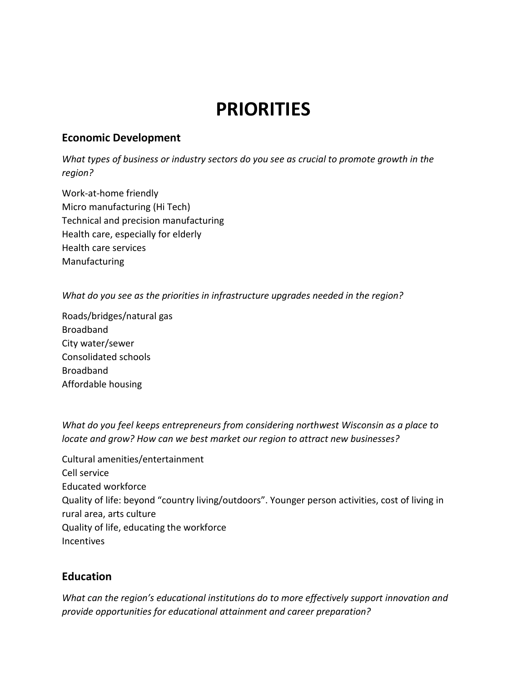## **PRIORITIES**

## **Economic Development**

*What types of business or industry sectors do you see as crucial to promote growth in the region?*

Work-at-home friendly Micro manufacturing (Hi Tech) Technical and precision manufacturing Health care, especially for elderly Health care services Manufacturing

*What do you see as the priorities in infrastructure upgrades needed in the region?*

Roads/bridges/natural gas Broadband City water/sewer Consolidated schools Broadband Affordable housing

*What do you feel keeps entrepreneurs from considering northwest Wisconsin as a place to locate and grow? How can we best market our region to attract new businesses?*

Cultural amenities/entertainment Cell service Educated workforce Quality of life: beyond "country living/outdoors". Younger person activities, cost of living in rural area, arts culture Quality of life, educating the workforce Incentives

## **Education**

*What can the region's educational institutions do to more effectively support innovation and provide opportunities for educational attainment and career preparation?*